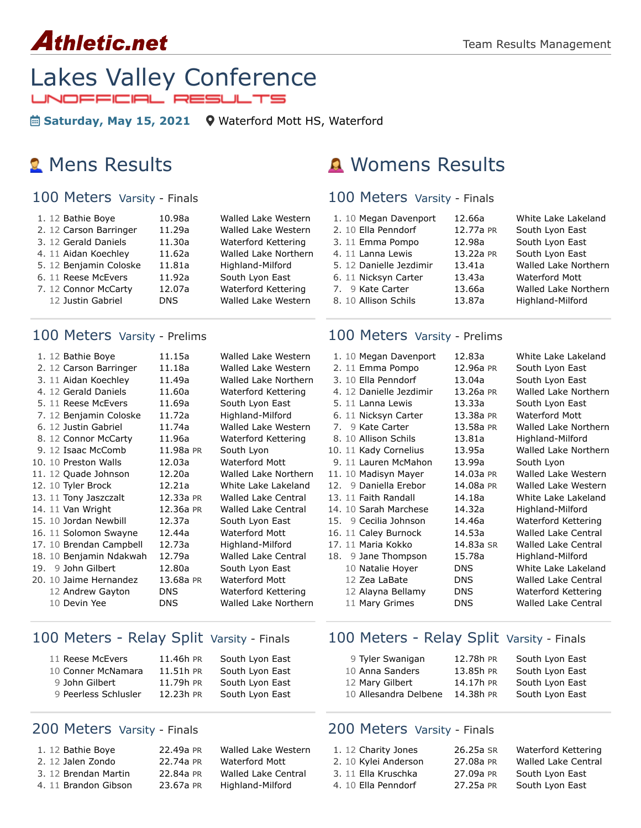# **Athletic.net**



**Saturday, May 15, 2021** [Waterford Mott HS, Waterford](https://maps.google.com/maps?saddr=&daddr=1151%20Scott%20Lake%20rd%2048328&hl=en)

#### 100 Meters Varsity - Finals

| 1. 12 Bathie Boye      | 10.98a     | Walled Lake Western  |
|------------------------|------------|----------------------|
| 2. 12 Carson Barringer | 11.29a     | Walled Lake Western  |
| 3. 12 Gerald Daniels   | 11.30a     | Waterford Kettering  |
| 4. 11 Aidan Koechley   | 11.62a     | Walled Lake Northern |
| 5. 12 Benjamin Coloske | 11.81a     | Highland-Milford     |
| 6. 11 Reese McEvers    | 11.92a     | South Lyon East      |
| 7. 12 Connor McCarty   | 12.07a     | Waterford Kettering  |
| 12 Justin Gabriel      | <b>DNS</b> | Walled Lake Western  |
|                        |            |                      |

#### 100 Meters Varsity - Prelims

|     | 1. 12 Bathie Boye       | 11.15a     | Walled Lake Western        |
|-----|-------------------------|------------|----------------------------|
|     | 2. 12 Carson Barringer  | 11.18a     | Walled Lake Western        |
|     | 3. 11 Aidan Koechley    | 11.49a     | Walled Lake Northern       |
|     | 4. 12 Gerald Daniels    | 11.60a     | Waterford Kettering        |
|     | 5. 11 Reese McEvers     | 11.69a     | South Lyon East            |
|     | 7. 12 Benjamin Coloske  | 11.72a     | Highland-Milford           |
|     | 6. 12 Justin Gabriel    | 11.74a     | Walled Lake Western        |
|     | 8. 12 Connor McCarty    | 11.96a     | Waterford Kettering        |
|     | 9. 12 Isaac McComb      | 11.98a PR  | South Lyon                 |
|     | 10. 10 Preston Walls    | 12.03a     | <b>Waterford Mott</b>      |
|     | 11. 12 Quade Johnson    | 12.20a     | Walled Lake Northern       |
|     | 12. 10 Tyler Brock      | 12.21a     | White Lake Lakeland        |
|     | 13. 11 Tony Jaszczalt   | 12.33a PR  | <b>Walled Lake Central</b> |
|     | 14. 11 Van Wright       | 12.36a PR  | <b>Walled Lake Central</b> |
|     | 15. 10 Jordan Newbill   | 12.37a     | South Lyon East            |
|     | 16. 11 Solomon Swayne   | 12.44a     | <b>Waterford Mott</b>      |
|     | 17. 10 Brendan Campbell | 12.73a     | Highland-Milford           |
|     | 18. 10 Benjamin Ndakwah | 12.79a     | <b>Walled Lake Central</b> |
| 19. | 9 John Gilbert          | 12.80a     | South Lyon East            |
|     | 20. 10 Jaime Hernandez  | 13.68a PR  | <b>Waterford Mott</b>      |
|     | 12 Andrew Gayton        | <b>DNS</b> | Waterford Kettering        |
|     | 10 Devin Yee            | <b>DNS</b> | Walled Lake Northern       |
|     |                         |            |                            |

#### 100 Meters - Relay Split Varsity - Finals

| 11 Reese McEvers     | 11.46h PR | South Lyon East |
|----------------------|-----------|-----------------|
| 10 Conner McNamara   | 11.51h PR | South Lyon East |
| 9 John Gilbert       | 11.79h PR | South Lyon East |
| 9 Peerless Schlusler | 12.23h PR | South Lyon East |
|                      |           |                 |

#### 200 Meters Varsity - Finals

| 1. 12 Bathie Boye    | 22.49a PR | Walled Lake Western   |
|----------------------|-----------|-----------------------|
|                      |           |                       |
| 2. 12 Jalen Zondo    | 22.74a PR | <b>Waterford Mott</b> |
| 3. 12 Brendan Martin | 22.84a PR | Walled Lake Central   |
| 4. 11 Brandon Gibson | 23.67a PR | Highland-Milford      |

## **2** Mens Results **A** Womens Results

#### 100 Meters Varsity - Finals

| 1. 10 Megan Davenport   | 12.66a    | White Lake Lakeland   |
|-------------------------|-----------|-----------------------|
| 2. 10 Ella Penndorf     | 12.77a PR | South Lyon East       |
| 3. 11 Emma Pompo        | 12.98a    | South Lyon East       |
| 4. 11 Lanna Lewis       | 13.22a PR | South Lyon East       |
| 5. 12 Danielle Jezdimir | 13.41a    | Walled Lake Northern  |
| 6. 11 Nicksyn Carter    | 13.43a    | <b>Waterford Mott</b> |
| 7. 9 Kate Carter        | 13.66a    | Walled Lake Northern  |
| 8. 10 Allison Schils    | 13.87a    | Highland-Milford      |

#### 100 Meters Varsity - Prelims

|  | 1. 10 Megan Davenport   | 12.83a     | White Lake Lakeland         |
|--|-------------------------|------------|-----------------------------|
|  | 2. 11 Emma Pompo        | 12.96a PR  | South Lyon East             |
|  | 3. 10 Ella Penndorf     | 13.04a     | South Lyon East             |
|  | 4. 12 Danielle Jezdimir | 13.26a PR  | <b>Walled Lake Northern</b> |
|  | 5. 11 Lanna Lewis       | 13.33a     | South Lyon East             |
|  | 6. 11 Nicksyn Carter    | 13.38a PR  | <b>Waterford Mott</b>       |
|  | 7. 9 Kate Carter        | 13.58a PR  | Walled Lake Northern        |
|  | 8. 10 Allison Schils    | 13.81a     | Highland-Milford            |
|  | 10. 11 Kady Cornelius   | 13.95a     | Walled Lake Northern        |
|  | 9. 11 Lauren McMahon    | 13.99a     | South Lyon                  |
|  | 11. 10 Madisyn Mayer    | 14.03a PR  | Walled Lake Western         |
|  | 12. 9 Daniella Erebor   | 14.08a PR  | Walled Lake Western         |
|  | 13. 11 Faith Randall    | 14.18a     | White Lake Lakeland         |
|  | 14. 10 Sarah Marchese   | 14.32a     | Highland-Milford            |
|  | 15. 9 Cecilia Johnson   | 14.46a     | Waterford Kettering         |
|  | 16. 11 Caley Burnock    | 14.53a     | Walled Lake Central         |
|  | 17. 11 Maria Kokko      | 14.83a SR  | <b>Walled Lake Central</b>  |
|  | 18. 9 Jane Thompson     | 15.78a     | Highland-Milford            |
|  | 10 Natalie Hoyer        | <b>DNS</b> | White Lake Lakeland         |
|  | 12 Zea LaBate           | <b>DNS</b> | <b>Walled Lake Central</b>  |
|  | 12 Alayna Bellamy       | DNS.       | Waterford Kettering         |
|  | 11 Mary Grimes          | <b>DNS</b> | <b>Walled Lake Central</b>  |
|  |                         |            |                             |

#### 100 Meters - Relay Split Varsity - Finals

| 9 Tyler Swanigan      | 12.78h PR | South Lyon East |
|-----------------------|-----------|-----------------|
| 10 Anna Sanders       | 13.85h PR | South Lyon East |
| 12 Mary Gilbert       | 14.17h PR | South Lyon East |
| 10 Allesandra Delbene | 14.38h PR | South Lyon East |

#### 200 Meters Varsity - Finals

| 1. 12 Charity Jones  | 26.25a SR | Waterford Kettering        |
|----------------------|-----------|----------------------------|
| 2. 10 Kylei Anderson | 27.08a PR | <b>Walled Lake Central</b> |
| 3. 11 Ella Kruschka  | 27.09a PR | South Lyon East            |
|                      |           |                            |

4. 10 [Ella Penndorf](https://www.athletic.net/TrackAndField/Athlete.aspx?AID=15590989) [27.25a](https://www.athletic.net/result/AWi0YxxiAh0v54JhN) [PR](https://www.athletic.net/post/AWi0YxxiAh0v54JhN) [South Lyon East](https://www.athletic.net/TrackAndField/School.aspx?SchoolID=34158)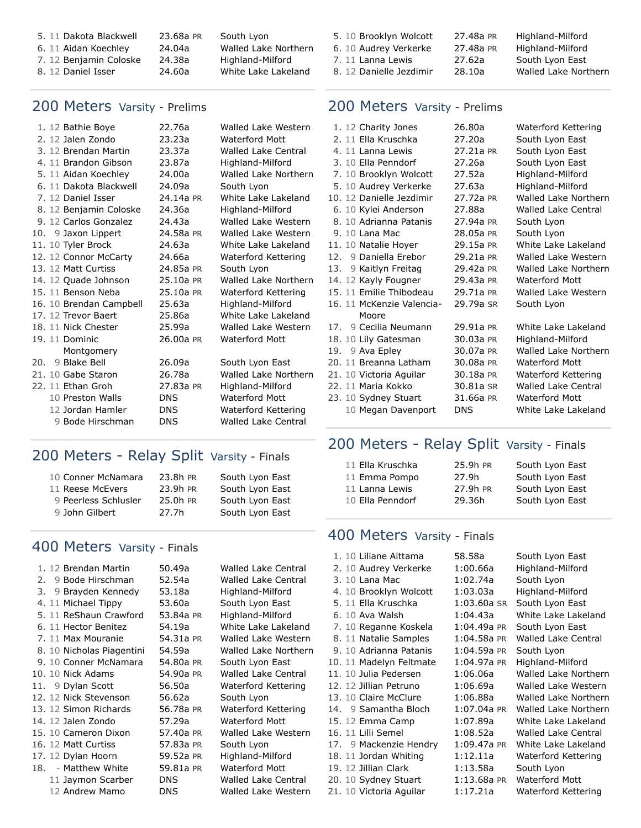| 5. 11 Dakota Blackwell | 23.68a PR | South Lyon           |
|------------------------|-----------|----------------------|
| 6. 11 Aidan Koechley   | 24.04a    | Walled Lake Northern |
| 7. 12 Benjamin Coloske | 24.38a    | Highland-Milford     |
| 8. 12 Daniel Isser     | 24.60a    | White Lake Lakeland  |

#### 200 Meters Varsity - Prelims

| 1. 12 Bathie Boye       | 22.76a     |            | Walled Lake Western        |
|-------------------------|------------|------------|----------------------------|
| 2. 12 Jalen Zondo       | 23.23a     |            | <b>Waterford Mott</b>      |
| 3. 12 Brendan Martin    | 23.37a     |            | Walled Lake Central        |
| 4. 11 Brandon Gibson    | 23.87a     |            | Highland-Milford           |
| 5. 11 Aidan Koechley    | 24.00a     |            | Walled Lake Northern       |
| 6. 11 Dakota Blackwell  | 24.09a     | South Lyon |                            |
| 7. 12 Daniel Isser      | 24.14a PR  |            | White Lake Lakeland        |
| 8. 12 Benjamin Coloske  | 24.36a     |            | Highland-Milford           |
| 9. 12 Carlos Gonzalez   | 24.43a     |            | Walled Lake Western        |
| 10. 9 Jaxon Lippert     | 24.58a PR  |            | Walled Lake Western        |
| 11. 10 Tyler Brock      | 24.63a     |            | White Lake Lakeland        |
| 12. 12 Connor McCarty   | 24.66a     |            | Waterford Kettering        |
| 13. 12 Matt Curtiss     | 24.85a PR  | South Lyon |                            |
| 14. 12 Quade Johnson    | 25.10a PR  |            | Walled Lake Northern       |
| 15. 11 Benson Neba      | 25.10a PR  |            | Waterford Kettering        |
| 16. 10 Brendan Campbell | 25.63a     |            | Highland-Milford           |
| 17. 12 Trevor Baert     | 25.86a     |            | White Lake Lakeland        |
| 18. 11 Nick Chester     | 25.99a     |            | Walled Lake Western        |
| 19. 11 Dominic          | 26.00a PR  |            | <b>Waterford Mott</b>      |
| Montgomery              |            |            |                            |
| 9 Blake Bell<br>20.     | 26.09a     |            | South Lyon East            |
| 21. 10 Gabe Staron      | 26.78a     |            | Walled Lake Northern       |
| 22. 11 Ethan Groh       | 27.83a PR  |            | Highland-Milford           |
| 10 Preston Walls        | <b>DNS</b> |            | <b>Waterford Mott</b>      |
| 12 Jordan Hamler        | <b>DNS</b> |            | Waterford Kettering        |
| 9 Bode Hirschman        | <b>DNS</b> |            | <b>Walled Lake Central</b> |
|                         |            |            |                            |

## 200 Meters - Relay Split Varsity - Finals

| 10 Conner McNamara   | 23.8h PR | South Lyon East |
|----------------------|----------|-----------------|
| 11 Reese McEvers     | 23.9h PR | South Lyon East |
| 9 Peerless Schlusler | 25.0h PR | South Lyon East |
| 9 John Gilbert       | 27.7h    | South Lyon East |

## 400 Meters Varsity - Finals

|    | 1. 12 Brendan Martin      | 50.49a     | Walled Lake Central        |
|----|---------------------------|------------|----------------------------|
| 2. | 9 Bode Hirschman          | 52.54a     | Walled Lake Central        |
| 3. | 9 Brayden Kennedy         | 53.18a     | Highland-Milford           |
|    | 4. 11 Michael Tippy       | 53.60a     | South Lyon East            |
|    | 5. 11 ReShaun Crawford    | 53.84a PR  | Highland-Milford           |
|    | 6. 11 Hector Benitez      | 54.19a     | White Lake Lakeland        |
|    | 7. 11 Max Mouranie        | 54.31a PR  | Walled Lake Western        |
|    | 8. 10 Nicholas Piagentini | 54.59a     | Walled Lake Northern       |
|    | 9. 10 Conner McNamara     | 54.80a PR  | South Lyon East            |
|    | 10. 10 Nick Adams         | 54.90a PR  | Walled Lake Central        |
|    | 11. 9 Dylan Scott         | 56.50a     | Waterford Kettering        |
|    | 12. 12 Nick Stevenson     | 56.62a     | South Lyon                 |
|    | 13. 12 Simon Richards     | 56.78a PR  | Waterford Kettering        |
|    | 14. 12 Jalen Zondo        | 57.29a     | <b>Waterford Mott</b>      |
|    | 15. 10 Cameron Dixon      | 57.40a PR  | Walled Lake Western        |
|    | 16. 12 Matt Curtiss       | 57.83a PR  | South Lyon                 |
|    | 17. 12 Dylan Hoorn        | 59.52a PR  | Highland-Milford           |
|    | 18. - Matthew White       | 59.81a PR  | <b>Waterford Mott</b>      |
|    | 11 Jaymon Scarber         | <b>DNS</b> | <b>Walled Lake Central</b> |
|    | 12 Andrew Mamo            | DNS        | Walled Lake Western        |

| 5. 10 Brooklyn Wolcott  | 27.48a PR | Highland-Milford     |
|-------------------------|-----------|----------------------|
| 6. 10 Audrey Verkerke   | 27.48a PR | Highland-Milford     |
| 7. 11 Lanna Lewis       | 27.62a    | South Lyon East      |
| 8. 12 Danielle Jezdimir | 28.10a    | Walled Lake Northern |
|                         |           |                      |

#### 200 Meters Varsity - Prelims

|     | 1. 12 Charity Jones       | 26.80a     | Waterford Kettering        |
|-----|---------------------------|------------|----------------------------|
|     | 2. 11 Ella Kruschka       | 27.20a     | South Lyon East            |
|     | 4. 11 Lanna Lewis         | 27.21a PR  | South Lyon East            |
|     | 3. 10 Ella Penndorf       | 27.26a     | South Lyon East            |
|     | 7. 10 Brooklyn Wolcott    | 27.52a     | Highland-Milford           |
|     | 5. 10 Audrey Verkerke     | 27.63a     | Highland-Milford           |
|     | 10. 12 Danielle Jezdimir  | 27.72a PR  | Walled Lake Northern       |
|     | 6. 10 Kylei Anderson      | 27.88a     | <b>Walled Lake Central</b> |
|     | 8. 10 Adrianna Patanis    | 27.94a PR  | South Lyon                 |
|     | 9. 10 Lana Mac            | 28.05a PR  | South Lyon                 |
|     | 11. 10 Natalie Hoyer      | 29.15a PR  | White Lake Lakeland        |
| 12. | 9 Daniella Erebor         | 29.21a PR  | Walled Lake Western        |
|     | 13. 9 Kaitlyn Freitag     | 29.42a PR  | Walled Lake Northern       |
|     | 14. 12 Kayly Fougner      | 29.43a PR  | Waterford Mott             |
|     | 15. 11 Emilie Thibodeau   | 29.71a PR  | Walled Lake Western        |
|     | 16. 11 McKenzie Valencia- | 29.79a SR  | South Lyon                 |
|     | Moore                     |            |                            |
|     | 17. 9 Cecilia Neumann     | 29.91a PR  | White Lake Lakeland        |
|     | 18. 10 Lily Gatesman      | 30.03a PR  | Highland-Milford           |
|     | 19. 9 Ava Epley           | 30.07a PR  | Walled Lake Northern       |
|     | 20. 11 Breanna Latham     | 30.08a PR  | <b>Waterford Mott</b>      |
|     | 21. 10 Victoria Aguilar   | 30.18a PR  | Waterford Kettering        |
|     | 22. 11 Maria Kokko        | 30.81a SR  | <b>Walled Lake Central</b> |
|     | 23. 10 Sydney Stuart      | 31.66a PR  | <b>Waterford Mott</b>      |
|     | 10 Megan Davenport        | <b>DNS</b> | White Lake Lakeland        |

## 200 Meters - Relay Split Varsity - Finals

| 11 Ella Kruschka | 25.9h PR | South Lyon East |
|------------------|----------|-----------------|
| 11 Emma Pompo    | 27.9h    | South Lyon East |
| 11 Lanna Lewis   | 27.9h PR | South Lyon East |
| 10 Ella Penndorf | 29.36h   | South Lyon East |

## 400 Meters Varsity - Finals

| 1. 10 Liliane Aittama   | 58.58a      | South Lyon East             |
|-------------------------|-------------|-----------------------------|
| 2. 10 Audrey Verkerke   | 1:00.66a    | Highland-Milford            |
| 3. 10 Lana Mac          | 1:02.74a    | South Lyon                  |
| 4. 10 Brooklyn Wolcott  | 1:03.03a    | Highland-Milford            |
| 5. 11 Ella Kruschka     | 1:03.60a SR | South Lyon East             |
| 6. 10 Ava Walsh         | 1:04.43a    | White Lake Lakeland         |
| 7. 10 Reganne Koskela   | 1:04.49a PR | South Lyon East             |
| 8. 11 Natalie Samples   | 1:04.58a PR | <b>Walled Lake Central</b>  |
| 9. 10 Adrianna Patanis  | 1:04.59a PR | South Lyon                  |
| 10. 11 Madelyn Feltmate | 1:04.97a PR | Highland-Milford            |
| 11. 10 Julia Pedersen   | 1:06.06a    | <b>Walled Lake Northern</b> |
| 12. 12 Jillian Petruno  | 1:06.69a    | Walled Lake Western         |
| 13. 10 Claire McClure   | 1:06.88a    | Walled Lake Northern        |
| 14. 9 Samantha Bloch    | 1:07.04a PR | Walled Lake Northern        |
| 15. 12 Emma Camp        | 1:07.89a    | White Lake Lakeland         |
| 16. 11 Lilli Semel      | 1:08.52a    | Walled Lake Central         |
| 17. 9 Mackenzie Hendry  | 1:09.47a PR | White Lake Lakeland         |
| 18. 11 Jordan Whiting   | 1:12.11a    | Waterford Kettering         |
| 19. 12 Jillian Clark    | 1:13.58a    | South Lyon                  |
| 20. 10 Sydney Stuart    | 1:13.68a PR | <b>Waterford Mott</b>       |
| 21. 10 Victoria Aguilar | 1:17.21a    | Waterford Kettering         |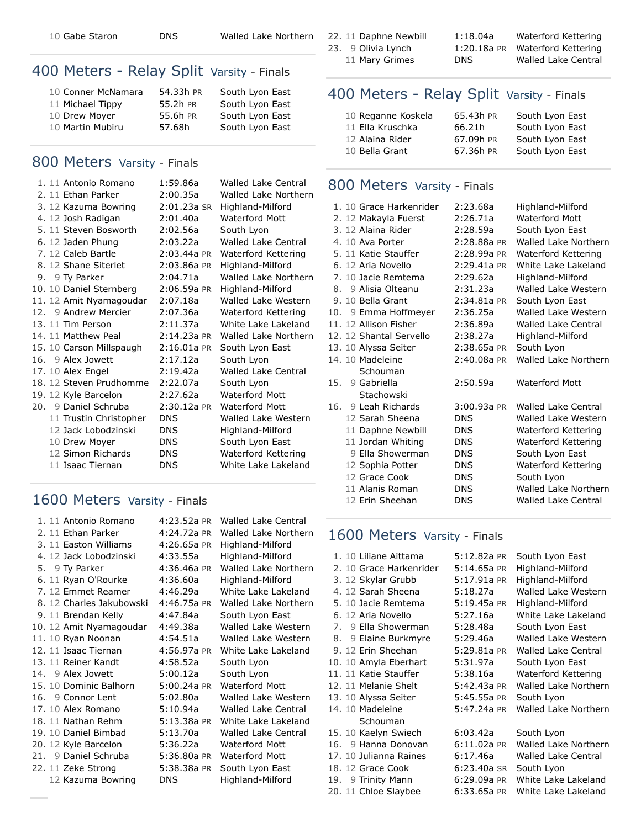10 [Gabe Staron](https://www.athletic.net/TrackAndField/Athlete.aspx?AID=15783290) [DNS](https://www.athletic.net/result/E1imd66SQIaJ6lkh1) [Walled Lake Northern](https://www.athletic.net/TrackAndField/School.aspx?SchoolID=13044)

## 400 Meters - Relay Split Varsity - Finals

| 10 Conner McNamara | 54.33h PR | South Lyon East |
|--------------------|-----------|-----------------|
| 11 Michael Tippy   | 55.2h PR  | South Lyon East |
| 10 Drew Moyer      | 55.6h PR  | South Lyon East |
| 10 Martin Mubiru   | 57.68h    | South Lyon East |

## 800 Meters Varsity - Finals

| 1. 11 Antonio Romano     | 1:59.86a      | <b>Walled Lake Central</b> |
|--------------------------|---------------|----------------------------|
| 2. 11 Ethan Parker       | 2:00.35a      | Walled Lake Northern       |
| 3. 12 Kazuma Bowring     | 2:01.23a SR   | Highland-Milford           |
| 4. 12 Josh Radigan       | 2:01.40a      | <b>Waterford Mott</b>      |
| 5. 11 Steven Bosworth    | 2:02.56a      | South Lyon                 |
| 6. 12 Jaden Phung        | 2:03.22a      | Walled Lake Central        |
| 7. 12 Caleb Bartle       | $2:03.44a$ PR | Waterford Kettering        |
| 8. 12 Shane Siterlet     | $2:03.86a$ PR | Highland-Milford           |
| 9. 9 Ty Parker           | 2:04.71a      | Walled Lake Northern       |
| 10. 10 Daniel Sternberg  | 2:06.59a PR   | Highland-Milford           |
| 11. 12 Amit Nyamagoudar  | 2:07.18a      | Walled Lake Western        |
| 12. 9 Andrew Mercier     | 2:07.36a      | Waterford Kettering        |
| 13. 11 Tim Person        | 2:11.37a      | White Lake Lakeland        |
| 14. 11 Matthew Peal      | $2:14.23a$ PR | Walled Lake Northern       |
| 15. 10 Carson Millspaugh | $2:16.01a$ PR | South Lyon East            |
| 16. 9 Alex Jowett        | 2:17.12a      | South Lyon                 |
| 17. 10 Alex Engel        | 2:19.42a      | <b>Walled Lake Central</b> |
| 18. 12 Steven Prudhomme  | 2:22.07a      | South Lyon                 |
| 19. 12 Kyle Barcelon     | 2:27.62a      | <b>Waterford Mott</b>      |
| 20. 9 Daniel Schruba     | 2:30.12a PR   | <b>Waterford Mott</b>      |
| 11 Trustin Christopher   | <b>DNS</b>    | Walled Lake Western        |
| 12 Jack Lobodzinski      | DNS.          | Highland-Milford           |
| 10 Drew Moyer            | <b>DNS</b>    | South Lyon East            |
| 12 Simon Richards        | <b>DNS</b>    | Waterford Kettering        |
| 11 Isaac Tiernan         | <b>DNS</b>    | White Lake Lakeland        |
|                          |               |                            |

## 1600 Meters Varsity - Finals

| 1. 11 Antonio Romano     | 4:23.52a PR | Walled Lake Central        |
|--------------------------|-------------|----------------------------|
| 2. 11 Ethan Parker       | 4:24.72a PR | Walled Lake Northern       |
| 3. 11 Easton Williams    | 4:26.65a PR | Highland-Milford           |
| 4. 12 Jack Lobodzinski   | 4:33.55a    | Highland-Milford           |
| 5. 9 Ty Parker           | 4:36.46a PR | Walled Lake Northern       |
| 6. 11 Ryan O'Rourke      | 4:36.60a    | Highland-Milford           |
| 7. 12 Emmet Reamer       | 4:46.29a    | White Lake Lakeland        |
| 8. 12 Charles Jakubowski | 4:46.75a PR | Walled Lake Northern       |
| 9. 11 Brendan Kelly      | 4:47.84a    | South Lyon East            |
| 10. 12 Amit Nyamagoudar  | 4:49.38a    | Walled Lake Western        |
| 11. 10 Ryan Noonan       | 4:54.51a    | Walled Lake Western        |
| 12. 11 Isaac Tiernan     | 4:56.97a PR | White Lake Lakeland        |
| 13. 11 Reiner Kandt      | 4:58.52a    | South Lyon                 |
| 14. 9 Alex Jowett        | 5:00.12a    | South Lyon                 |
| 15. 10 Dominic Balhorn   | 5:00.24a PR | Waterford Mott             |
| 16. 9 Connor Lent        | 5:02.80a    | Walled Lake Western        |
| 17. 10 Alex Romano       | 5:10.94a    | <b>Walled Lake Central</b> |
| 18. 11 Nathan Rehm       | 5:13.38a PR | White Lake Lakeland        |
| 19. 10 Daniel Bimbad     | 5:13.70a    | <b>Walled Lake Central</b> |
| 20. 12 Kyle Barcelon     | 5:36.22a    | <b>Waterford Mott</b>      |
| 21. 9 Daniel Schruba     | 5:36.80a PR | <b>Waterford Mott</b>      |
| 22. 11 Zeke Strong       | 5:38.38a PR | South Lyon East            |
| 12 Kazuma Bowring        | DNS         | Highland-Milford           |

22. 11 [Daphne Newbill](https://www.athletic.net/TrackAndField/Athlete.aspx?AID=13927051) [1:18.04a](https://www.athletic.net/result/wOiO1ppF8fJvVvAUy) [Waterford Kettering](https://www.athletic.net/TrackAndField/School.aspx?SchoolID=12593)

23. 9 [Olivia Lynch](https://www.athletic.net/TrackAndField/Athlete.aspx?AID=17299682) [1:20.18a](https://www.athletic.net/result/YViZdAAi5fWPg6khR) [PR](https://www.athletic.net/post/YViZdAAi5fWPg6khR) [Waterford Kettering](https://www.athletic.net/TrackAndField/School.aspx?SchoolID=12593) 11 [Mary Grimes](https://www.athletic.net/TrackAndField/Athlete.aspx?AID=13949411) [DNS](https://www.athletic.net/result/o3iaoxxC3fYLMBYIe) [Walled Lake Central](https://www.athletic.net/TrackAndField/School.aspx?SchoolID=13238)

## 400 Meters - Relay Split Varsity - Finals

| 65.43h PR | South Lyon East |
|-----------|-----------------|
| 66.21h    | South Lyon East |
| 67.09h PR | South Lyon East |
| 67.36h PR | South Lyon East |
|           |                 |

#### 800 Meters Varsity - Finals

|     | 1. 10 Grace Harkenrider | 2:23.68a      | Highland-Milford           |
|-----|-------------------------|---------------|----------------------------|
|     | 2. 12 Makayla Fuerst    | 2:26.71a      | Waterford Mott             |
|     | 3. 12 Alaina Rider      | 2:28.59a      | South Lyon East            |
|     | 4.10 Ava Porter         | 2:28.88a PR   | Walled Lake Northern       |
|     | 5. 11 Katie Stauffer    | 2:28.99a PR   | Waterford Kettering        |
|     | 6. 12 Aria Novello      | $2:29.41a$ PR | White Lake Lakeland        |
|     | 7. 10 Jacie Remtema     | 2:29.62a      | Highland-Milford           |
|     | 8. 9 Alisia Olteanu     | 2:31.23a      | Walled Lake Western        |
|     | 9. 10 Bella Grant       | $2:34.81a$ PR | South Lyon East            |
|     | 10. 9 Emma Hoffmeyer    | 2:36.25a      | Walled Lake Western        |
|     | 11. 12 Allison Fisher   | 2:36.89a      | <b>Walled Lake Central</b> |
|     | 12. 12 Shantal Servello | 2:38.27a      | Highland-Milford           |
|     | 13. 10 Alyssa Seiter    | 2:38.65a PR   | South Lyon                 |
|     | 14. 10 Madeleine        | $2:40.08a$ PR | Walled Lake Northern       |
|     | Schouman                |               |                            |
| 15. | 9 Gabriella             | 2:50.59a      | Waterford Mott             |
|     | Stachowski              |               |                            |
| 16. | 9 Leah Richards         | $3:00.93a$ PR | Walled Lake Central        |
|     | 12 Sarah Sheena         | <b>DNS</b>    | Walled Lake Western        |
|     | 11 Daphne Newbill       | <b>DNS</b>    | Waterford Kettering        |
|     | 11 Jordan Whiting       | <b>DNS</b>    | Waterford Kettering        |
|     | 9 Ella Showerman        | <b>DNS</b>    | South Lyon East            |
|     | 12 Sophia Potter        | <b>DNS</b>    | Waterford Kettering        |
|     | 12 Grace Cook           | <b>DNS</b>    | South Lyon                 |
|     | 11 Alanis Roman         | <b>DNS</b>    | Walled Lake Northern       |
|     | 12 Erin Sheehan         | <b>DNS</b>    | <b>Walled Lake Central</b> |
|     |                         |               |                            |

## 1600 Meters Varsity - Finals

| 1. 10 Liliane Aittama   | 5:12.82a PR   | South Lyon East            |
|-------------------------|---------------|----------------------------|
| 2. 10 Grace Harkenrider | 5:14.65a PR   | Highland-Milford           |
| 3. 12 Skylar Grubb      | 5:17.91a PR   | Highland-Milford           |
| 4. 12 Sarah Sheena      | 5:18.27a      | Walled Lake Western        |
| 5. 10 Jacie Remtema     | 5:19.45a PR   | Highland-Milford           |
| 6. 12 Aria Novello      | 5:27.16a      | White Lake Lakeland        |
| 7. 9 Ella Showerman     | 5:28.48a      | South Lyon East            |
| 8. 9 Elaine Burkmyre    | 5:29.46a      | Walled Lake Western        |
| 9. 12 Erin Sheehan      | 5:29.81a PR   | <b>Walled Lake Central</b> |
| 10. 10 Amyla Eberhart   | 5:31.97a      | South Lyon East            |
| 11. 11 Katie Stauffer   | 5:38.16a      | Waterford Kettering        |
| 12. 11 Melanie Shelt    | 5:42.43a PR   | Walled Lake Northern       |
| 13. 10 Alyssa Seiter    | 5:45.55a PR   | South Lyon                 |
| 14. 10 Madeleine        | 5:47.24a PR   | Walled Lake Northern       |
| Schouman                |               |                            |
| 15. 10 Kaelyn Swiech    | 6:03.42a      | South Lyon                 |
| 16. 9 Hanna Donovan     | $6:11.02a$ PR | Walled Lake Northern       |
| 17. 10 Julianna Raines  | 6:17.46a      | <b>Walled Lake Central</b> |
| 18. 12 Grace Cook       | 6:23.40a SR   | South Lyon                 |
| 19. 9 Trinity Mann      | 6:29.09a PR   | White Lake Lakeland        |
| 20. 11 Chloe Slaybee    | 6:33.65a PR   | White Lake Lakeland        |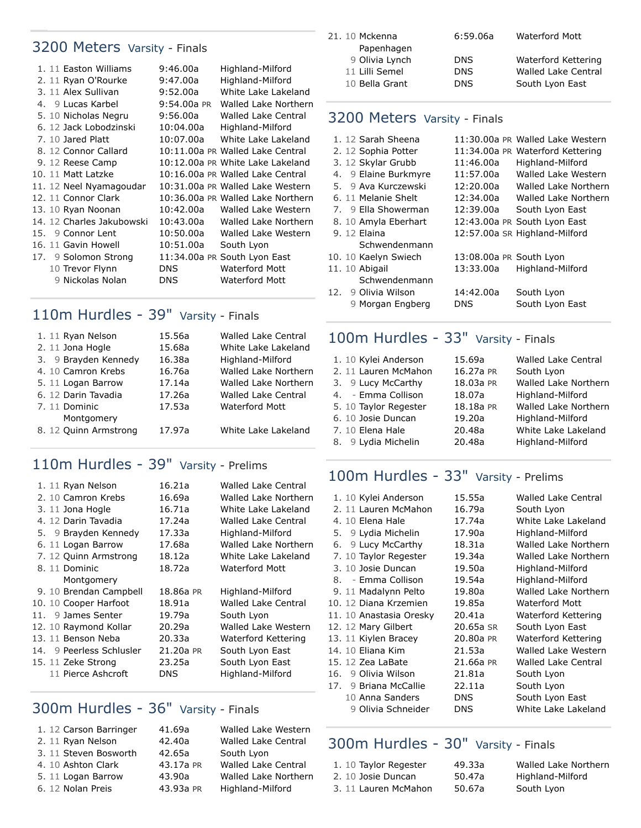## 3200 Meters Varsity - Finals

|  | 1. 11 Easton Williams     | 9:46.00a    | Highland-Milford                  |
|--|---------------------------|-------------|-----------------------------------|
|  | 2. 11 Ryan O'Rourke       | 9:47.00a    | Highland-Milford                  |
|  | 3. 11 Alex Sullivan       | 9:52.00a    | White Lake Lakeland               |
|  | 4. 9 Lucas Karbel         | 9:54.00a PR | Walled Lake Northern              |
|  | 5. 10 Nicholas Negru      | 9:56.00a    | Walled Lake Central               |
|  | 6. 12 Jack Lobodzinski    | 10:04.00a   | Highland-Milford                  |
|  | 7. 10 Jared Platt         | 10:07.00a   | White Lake Lakeland               |
|  | 8. 12 Connor Callard      |             | 10:11.00a PR Walled Lake Central  |
|  | 9. 12 Reese Camp          |             | 10:12.00a PR White Lake Lakeland  |
|  | 10. 11 Matt Latzke        |             | 10:16.00a PR Walled Lake Central  |
|  | 11. 12 Neel Nyamagoudar   |             | 10:31.00a PR Walled Lake Western  |
|  | 12. 11 Connor Clark       |             | 10:36.00a PR Walled Lake Northern |
|  | 13. 10 Ryan Noonan        | 10:42.00a   | Walled Lake Western               |
|  | 14. 12 Charles Jakubowski | 10:43.00a   | Walled Lake Northern              |
|  | 15. 9 Connor Lent         | 10:50.00a   | Walled Lake Western               |
|  | 16. 11 Gavin Howell       | 10:51.00a   | South Lyon                        |
|  | 17. 9 Solomon Strong      |             | 11:34.00a PR South Lyon East      |
|  | 10 Trevor Flynn           | DNS.        | <b>Waterford Mott</b>             |
|  | 9 Nickolas Nolan          | DNS.        | <b>Waterford Mott</b>             |

## 110m Hurdles - 39" Varsity - Finals

| 1. 11 Ryan Nelson     | 15.56a | <b>Walled Lake Central</b> |
|-----------------------|--------|----------------------------|
| 2. 11 Jona Hogle      | 15.68a | White Lake Lakeland        |
| 3. 9 Brayden Kennedy  | 16.38a | Highland-Milford           |
| 4. 10 Camron Krebs    | 16.76a | Walled Lake Northern       |
| 5. 11 Logan Barrow    | 17.14a | Walled Lake Northern       |
| 6. 12 Darin Tavadia   | 17.26a | <b>Walled Lake Central</b> |
| 7.11 Dominic          | 17.53a | Waterford Mott             |
| Montgomery            |        |                            |
| 8. 12 Quinn Armstrong | 17.97a | White Lake Lakeland        |
|                       |        |                            |

## 110m Hurdles - 39" Varsity - Prelims

| 1. 11 Ryan Nelson        | 16.21a    | Walled Lake Central        |
|--------------------------|-----------|----------------------------|
| 2. 10 Camron Krebs       | 16.69a    | Walled Lake Northern       |
| 3. 11 Jona Hogle         | 16.71a    | White Lake Lakeland        |
| 4. 12 Darin Tavadia      | 17.24a    | Walled Lake Central        |
| 5. 9 Brayden Kennedy     | 17.33a    | Highland-Milford           |
| 6. 11 Logan Barrow       | 17.68a    | Walled Lake Northern       |
| 7. 12 Quinn Armstrong    | 18.12a    | White Lake Lakeland        |
| 8. 11 Dominic            | 18.72a    | Waterford Mott             |
| Montgomery               |           |                            |
| 9. 10 Brendan Campbell   | 18.86a PR | Highland-Milford           |
| 10. 10 Cooper Harfoot    | 18.91a    | <b>Walled Lake Central</b> |
| 11. 9 James Senter       | 19.79a    | South Lyon                 |
| 12. 10 Raymond Kollar    | 20.29a    | Walled Lake Western        |
| 13. 11 Benson Neba       | 20.33a    | Waterford Kettering        |
| 14. 9 Peerless Schlusler | 21.20a PR | South Lyon East            |
| 15. 11 Zeke Strong       | 23.25a    | South Lyon East            |
| 11 Pierce Ashcroft       | DNS       | Highland-Milford           |

## 300m Hurdles - 36" Varsity - Finals

| 1. 12 Carson Barringer | 41.69a    | Walled Lake Western        |
|------------------------|-----------|----------------------------|
| 2. 11 Ryan Nelson      | 42.40a    | <b>Walled Lake Central</b> |
| 3. 11 Steven Bosworth  | 42.65a    | South Lyon                 |
| 4. 10 Ashton Clark     | 43.17a PR | <b>Walled Lake Central</b> |
| 5. 11 Logan Barrow     | 43.90a    | Walled Lake Northern       |
| 6. 12 Nolan Preis      | 43.93a PR | Highland-Milford           |
|                        |           |                            |

| 6:59.06a   | Waterford Mott             |
|------------|----------------------------|
|            |                            |
| <b>DNS</b> | Waterford Kettering        |
| <b>DNS</b> | <b>Walled Lake Central</b> |
| <b>DNS</b> | South Lyon East            |
|            |                            |

## 3200 Meters Varsity - Finals

|     | 1. 12 Sarah Sheena   |                         | 11:30.00a PR Walled Lake Western |
|-----|----------------------|-------------------------|----------------------------------|
|     | 2. 12 Sophia Potter  |                         | 11:34.00a PR Waterford Kettering |
|     | 3. 12 Skylar Grubb   | 11:46.00a               | Highland-Milford                 |
|     | 4. 9 Elaine Burkmyre | 11:57.00a               | Walled Lake Western              |
|     | 5. 9 Ava Kurczewski  | 12:20.00a               | Walled Lake Northern             |
|     | 6. 11 Melanie Shelt  | 12:34.00a               | Walled Lake Northern             |
|     | 7. 9 Ella Showerman  | 12:39.00a               | South Lyon East                  |
|     | 8. 10 Amyla Eberhart |                         | 12:43.00a PR South Lyon East     |
|     | 9. 12 Elaina         |                         | 12:57.00a SR Highland-Milford    |
|     | Schwendenmann        |                         |                                  |
|     | 10. 10 Kaelyn Swiech | 13:08.00a PR South Lyon |                                  |
|     | 11. 10 Abigail       | 13:33.00a               | Highland-Milford                 |
|     | Schwendenmann        |                         |                                  |
| 12. | 9 Olivia Wilson      | 14:42.00a               | South Lyon                       |
|     | 9 Morgan Engberg     | <b>DNS</b>              | South Lyon East                  |

## 100m Hurdles - 33" Varsity - Finals

| 1. 10 Kylei Anderson  | 15.69a    | <b>Walled Lake Central</b> |
|-----------------------|-----------|----------------------------|
|                       |           |                            |
| 2. 11 Lauren McMahon  | 16.27a PR | South Lyon                 |
| 3. 9 Lucy McCarthy    | 18.03a PR | Walled Lake Northern       |
| 4. - Emma Collison    | 18.07a    | Highland-Milford           |
| 5. 10 Taylor Regester | 18.18a PR | Walled Lake Northern       |
| 6. 10 Josie Duncan    | 19.20a    | Highland-Milford           |
| 7. 10 Elena Hale      | 20.48a    | White Lake Lakeland        |
| 8. 9 Lydia Michelin   | 20.48a    | Highland-Milford           |

## 100m Hurdles - 33" Varsity - Prelims

| 1. 10 Kylei Anderson     | 15.55a     | <b>Walled Lake Central</b> |
|--------------------------|------------|----------------------------|
| 2. 11 Lauren McMahon     | 16.79a     | South Lyon                 |
| 4. 10 Elena Hale         | 17.74a     | White Lake Lakeland        |
| 9 Lydia Michelin<br>5.   | 17.90a     | Highland-Milford           |
| 9 Lucy McCarthy<br>6.    | 18.31a     | Walled Lake Northern       |
| 7. 10 Taylor Regester    | 19.34a     | Walled Lake Northern       |
| 3. 10 Josie Duncan       | 19.50a     | Highland-Milford           |
| 8. - Emma Collison       | 19.54a     | Highland-Milford           |
| 9. 11 Madalynn Pelto     | 19.80a     | Walled Lake Northern       |
| 10. 12 Diana Krzemien    | 19.85a     | Waterford Mott             |
| 11. 10 Anastasia Oresky  | 20.41a     | Waterford Kettering        |
| 12. 12 Mary Gilbert      | 20.65a SR  | South Lyon East            |
| 13. 11 Kiylen Bracey     | 20.80a PR  | Waterford Kettering        |
| 14. 10 Eliana Kim        | 21.53a     | Walled Lake Western        |
| 15. 12 Zea LaBate        | 21.66a PR  | <b>Walled Lake Central</b> |
| 9 Olivia Wilson<br>16.   | 21.81a     | South Lyon                 |
| 9 Briana McCallie<br>17. | 22.11a     | South Lyon                 |
| 10 Anna Sanders          | <b>DNS</b> | South Lyon East            |
| 9 Olivia Schneider       | <b>DNS</b> | White Lake Lakeland        |

## 300m Hurdles - 30" Varsity - Finals

| 1. 10 Taylor Regester | 49.33a | Walled Lake Northern |
|-----------------------|--------|----------------------|
| 2. 10 Josie Duncan    | 50.47a | Highland-Milford     |
| 3. 11 Lauren McMahon  | 50.67a | South Lyon           |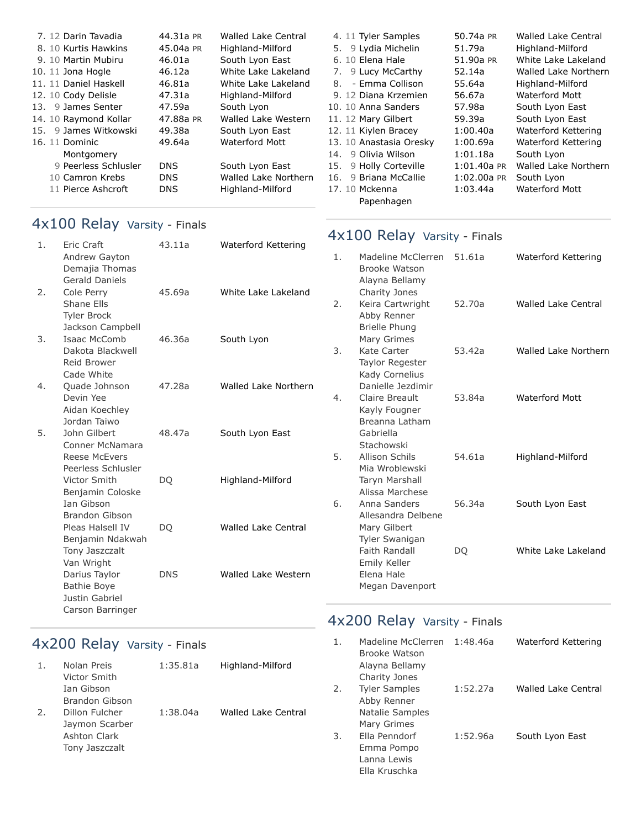| 7. 12 Darin Tavadia   | 44.31a PR  | Walled Lake Central  |
|-----------------------|------------|----------------------|
| 8. 10 Kurtis Hawkins  | 45.04a PR  | Highland-Milford     |
| 9. 10 Martin Mubiru   | 46.01a     | South Lyon East      |
| 10. 11 Jona Hogle     | 46.12a     | White Lake Lakeland  |
| 11. 11 Daniel Haskell | 46.81a     | White Lake Lakeland  |
| 12. 10 Cody Delisle   | 47.31a     | Highland-Milford     |
| 13. 9 James Senter    | 47.59a     | South Lyon           |
| 14. 10 Raymond Kollar | 47.88a PR  | Walled Lake Western  |
| 15. 9 James Witkowski | 49.38a     | South Lyon East      |
| 16. 11 Dominic        | 49.64a     | Waterford Mott       |
| Montgomery            |            |                      |
| 9 Peerless Schlusler  | <b>DNS</b> | South Lyon East      |
| 10 Camron Krebs       | <b>DNS</b> | Walled Lake Northern |
| 11 Pierce Ashcroft    | <b>DNS</b> | Highland-Milford     |
|                       |            |                      |

## 4x100 Relay Varsity - Finals

| 1. | <b>Eric Craft</b><br>Andrew Gayton<br>Demajia Thomas<br><b>Gerald Daniels</b> | 43.11a     | Waterford Kettering        |
|----|-------------------------------------------------------------------------------|------------|----------------------------|
| 2. | Cole Perry<br>Shane Ells<br><b>Tyler Brock</b><br>Jackson Campbell            | 45.69a     | White Lake Lakeland        |
| 3. | Isaac McComb<br>Dakota Blackwell<br>Reid Brower<br>Cade White                 | 46.36a     | South Lyon                 |
| 4. | Quade Johnson<br>Devin Yee<br>Aidan Koechley<br>Jordan Taiwo                  | 47.28a     | Walled Lake Northern       |
| 5. | John Gilbert<br>Conner McNamara<br>Reese McEvers<br>Peerless Schlusler        | 48.47a     | South Lyon East            |
|    | Victor Smith<br>Benjamin Coloske<br>Ian Gibson<br>Brandon Gibson              | DO         | Highland-Milford           |
|    | Pleas Halsell IV<br>Benjamin Ndakwah<br>Tony Jaszczalt<br>Van Wright          | DO         | <b>Walled Lake Central</b> |
|    | Darius Taylor<br><b>Bathie Boye</b><br>Justin Gabriel<br>Carson Barringer     | <b>DNS</b> | Walled Lake Western        |
|    |                                                                               |            |                            |

## 4x200 Relay Varsity - Finals

|    | Nolan Preis<br>Victor Smith<br>Ian Gibson<br>Brandon Gibson        | 1:35.81a | Highland-Milford    |
|----|--------------------------------------------------------------------|----------|---------------------|
| 2. | Dillon Fulcher<br>Jaymon Scarber<br>Ashton Clark<br>Tony Jaszczalt | 1:38.04a | Walled Lake Central |

| 4. 11 Tyler Samples     | 50.74a PR   | <b>Walled Lake Central</b> |
|-------------------------|-------------|----------------------------|
| 5. 9 Lydia Michelin     | 51.79a      | Highland-Milford           |
| 6. 10 Elena Hale        | 51.90a PR   | White Lake Lakeland        |
| 7. 9 Lucy McCarthy      | 52.14a      | Walled Lake Northern       |
| 8. - Emma Collison      | 55.64a      | Highland-Milford           |
| 9. 12 Diana Krzemien    | 56.67a      | Waterford Mott             |
| 10. 10 Anna Sanders     | 57.98a      | South Lyon East            |
| 11. 12 Mary Gilbert     | 59.39a      | South Lyon East            |
| 12. 11 Kiylen Bracey    | 1:00.40a    | Waterford Kettering        |
| 13. 10 Anastasia Oresky | 1:00.69a    | Waterford Kettering        |
| 14. 9 Olivia Wilson     | 1:01.18a    | South Lyon                 |
| 15. 9 Holly Corteville  | 1:01.40a PR | Walled Lake Northern       |
| 16. 9 Briana McCallie   | 1:02.00a PR | South Lyon                 |
| 17. 10 Mckenna          | 1:03.44a    | Waterford Mott             |
| Papenhagen              |             |                            |

## 4x100 Relay Varsity - Finals

| 1. | Madeline McClerren<br>Brooke Watson<br>Alayna Bellamy<br>Charity Jones       | 51.61a | Waterford Kettering        |
|----|------------------------------------------------------------------------------|--------|----------------------------|
| 2. | Keira Cartwright<br>Abby Renner<br><b>Brielle Phung</b><br>Mary Grimes       | 52.70a | <b>Walled Lake Central</b> |
| 3. | Kate Carter<br><b>Taylor Regester</b><br>Kady Cornelius<br>Danielle Jezdimir | 53.42a | Walled Lake Northern       |
| 4. | Claire Breault<br>Kayly Fougner<br>Breanna Latham<br>Gabriella<br>Stachowski | 53.84a | <b>Waterford Mott</b>      |
| 5. | Allison Schils<br>Mia Wroblewski<br>Taryn Marshall<br>Alissa Marchese        | 54.61a | Highland-Milford           |
| 6. | Anna Sanders<br>Allesandra Delbene<br>Mary Gilbert<br>Tyler Swanigan         | 56.34a | South Lyon East            |
|    | Faith Randall<br>Emily Keller<br>Elena Hale<br>Megan Davenport               | DO     | White Lake Lakeland        |

## 4x200 Relay Varsity - Finals

| 1. | Madeline McClerren<br>Brooke Watson<br>Alayna Bellamy       | 1:48.46a | Waterford Kettering |
|----|-------------------------------------------------------------|----------|---------------------|
| 2. | Charity Jones<br><b>Tyler Samples</b><br>Abby Renner        | 1:52.27a | Walled Lake Central |
|    | Natalie Samples<br>Mary Grimes                              |          |                     |
| З. | Flla Penndorf<br>Emma Pompo<br>Lanna Lewis<br>Ella Kruschka | 1:52.96a | South Lyon East     |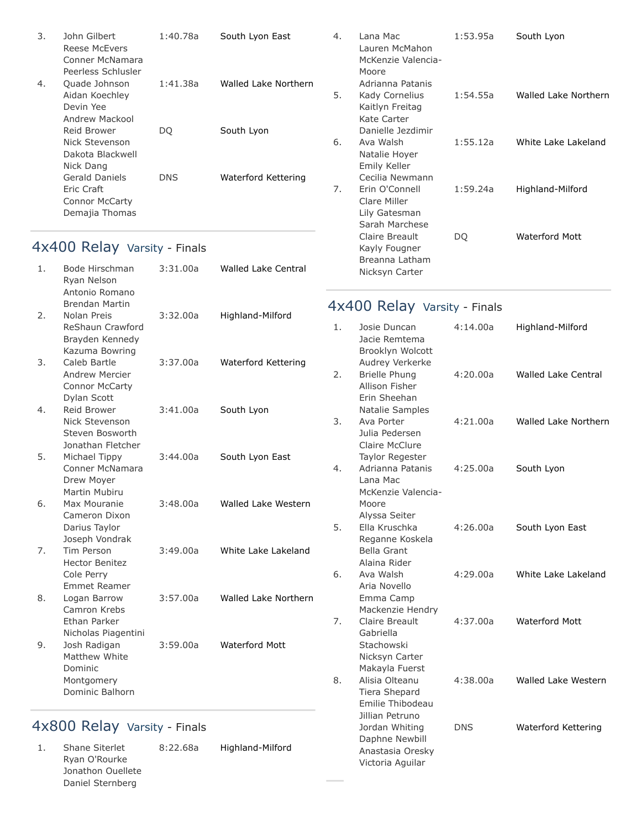| 3. | John Gilbert<br>Reese McFyers<br>Conner McNamara<br>Peerless Schlusler  | 1:40.78a | South Lyon East      |
|----|-------------------------------------------------------------------------|----------|----------------------|
| 4. | Quade Johnson<br>Aidan Koechley<br>Devin Yee<br>Andrew Mackool          | 1:41.38a | Walled Lake Northern |
|    | Reid Brower<br>Nick Stevenson<br>Dakota Blackwell<br>Nick Dang          | DO       | South Lyon           |
|    | Gerald Daniels<br>Eric Craft<br><b>Connor McCarty</b><br>Demajia Thomas | DNS      | Waterford Kettering  |

## 4x400 Relay Varsity - Finals

| 1. | Bode Hirschman<br>Ryan Nelson<br>Antonio Romano<br><b>Brendan Martin</b>  | 3:31.00a | <b>Walled Lake Central</b> |
|----|---------------------------------------------------------------------------|----------|----------------------------|
| 2. | Nolan Preis<br>ReShaun Crawford<br>Brayden Kennedy<br>Kazuma Bowring      | 3:32.00a | Highland-Milford           |
| 3. | Caleb Bartle<br>Andrew Mercier<br><b>Connor McCarty</b><br>Dylan Scott    | 3:37.00a | Waterford Kettering        |
| 4. | Reid Brower<br>Nick Stevenson<br>Steven Bosworth<br>Jonathan Fletcher     | 3:41.00a | South Lyon                 |
| 5. | Michael Tippy<br>Conner McNamara<br>Drew Moyer<br>Martin Mubiru           | 3:44.00a | South Lyon East            |
| 6. | Max Mouranie<br>Cameron Dixon<br>Darius Taylor<br>Joseph Vondrak          | 3:48.00a | Walled Lake Western        |
| 7. | Tim Person<br><b>Hector Benitez</b><br>Cole Perry<br><b>Emmet Reamer</b>  | 3:49.00a | White Lake Lakeland        |
| 8. | Logan Barrow<br>Camron Krebs<br>Ethan Parker<br>Nicholas Piagentini       | 3:57.00a | Walled Lake Northern       |
| 9. | Josh Radigan<br>Matthew White<br>Dominic<br>Montgomery<br>Dominic Balhorn | 3:59.00a | <b>Waterford Mott</b>      |
|    |                                                                           |          |                            |

## 4x800 Relay Varsity - Finals

| Highland-Milford |
|------------------|
|                  |
|                  |
|                  |
|                  |

| 4. | Lana Mac<br>Lauren McMahon<br>McKenzie Valencia-<br>Moore<br>Adrianna Patanis | 1:53.95a | South Lyon            |
|----|-------------------------------------------------------------------------------|----------|-----------------------|
| 5. | Kady Cornelius<br>Kaitlyn Freitag<br>Kate Carter<br>Danielle Jezdimir         | 1:54.55a | Walled Lake Northern  |
| 6. | Ava Walsh<br>Natalie Hoyer<br>Emily Keller<br>Cecilia Newmann                 | 1:55.12a | White Lake Lakeland   |
| 7. | Erin O'Connell<br>Clare Miller<br>Lily Gatesman<br>Sarah Marchese             | 1:59.24a | Highland-Milford      |
|    | Claire Breault<br>Kayly Fougner<br>Breanna Latham<br>Nicksyn Carter           | DO       | <b>Waterford Mott</b> |

## 4x400 Relay Varsity - Finals

| 1. | Josie Duncan<br>Jacie Remtema<br>Brooklyn Wolcott<br>Audrey Verkerke             | 4:14.00a   | Highland-Milford           |
|----|----------------------------------------------------------------------------------|------------|----------------------------|
| 2. | <b>Brielle Phung</b><br>Allison Fisher<br>Erin Sheehan<br><b>Natalie Samples</b> | 4:20.00a   | <b>Walled Lake Central</b> |
| 3. | Ava Porter<br>Julia Pedersen<br>Claire McClure<br><b>Taylor Regester</b>         | 4:21.00a   | Walled Lake Northern       |
| 4. | Adrianna Patanis<br>Lana Mac<br>McKenzie Valencia-<br>Moore<br>Alyssa Seiter     | 4:25.00a   | South Lyon                 |
| 5. | Ella Kruschka<br>Reganne Koskela<br><b>Bella Grant</b><br>Alaina Rider           | 4:26.00a   | South Lyon East            |
| 6. | Ava Walsh<br>Aria Novello<br>Emma Camp<br>Mackenzie Hendry                       | 4:29.00a   | White Lake Lakeland        |
| 7. | Claire Breault<br>Gabriella<br>Stachowski<br>Nicksyn Carter<br>Makayla Fuerst    | 4:37.00a   | <b>Waterford Mott</b>      |
| 8. | Alisia Olteanu<br>Tiera Shepard<br>Emilie Thibodeau<br>Jillian Petruno           | 4:38.00a   | Walled Lake Western        |
|    | Jordan Whiting<br>Daphne Newbill<br>Anastasia Oresky<br>Victoria Aguilar         | <b>DNS</b> | Waterford Kettering        |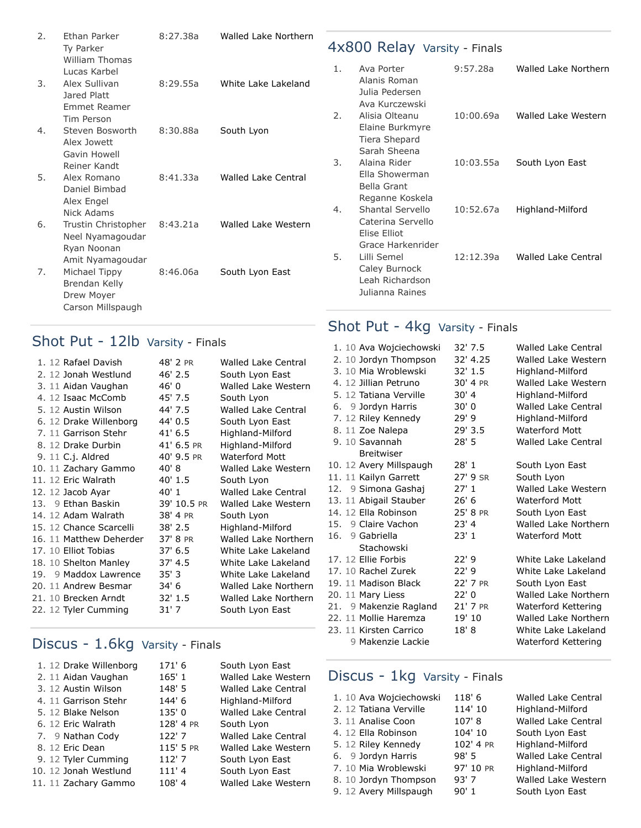| 2. | Ethan Parker                                                                          | 8:27.38a | Walled Lake Northern |    |                                                                            |           |                      |
|----|---------------------------------------------------------------------------------------|----------|----------------------|----|----------------------------------------------------------------------------|-----------|----------------------|
|    | Ty Parker                                                                             |          |                      |    | 4x800 Relay Varsity - Finals                                               |           |                      |
| 3. | <b>William Thomas</b><br>Lucas Karbel<br>Alex Sullivan<br>Jared Platt                 | 8:29.55a | White Lake Lakeland  | 1. | Ava Porter<br>Alanis Roman<br>Julia Pedersen<br>Ava Kurczewski             | 9:57.28a  | Walled Lake Northern |
| 4. | <b>Emmet Reamer</b><br>Tim Person<br>Steven Bosworth<br>Alex Jowett<br>Gavin Howell   | 8:30.88a | South Lyon           | 2. | Alisia Olteanu<br>Elaine Burkmyre<br>Tiera Shepard<br>Sarah Sheena         | 10:00.69a | Walled Lake Western  |
| 5. | Reiner Kandt<br>Alex Romano<br>Daniel Bimbad<br>Alex Engel                            | 8:41.33a | Walled Lake Central  | 3. | Alaina Rider<br>Ella Showerman<br>Bella Grant<br>Reganne Koskela           | 10:03.55a | South Lyon East      |
| 6. | Nick Adams<br>Trustin Christopher<br>Neel Nyamagoudar<br>Ryan Noonan                  | 8:43.21a | Walled Lake Western  | 4. | Shantal Servello<br>Caterina Servello<br>Elise Elliot<br>Grace Harkenrider | 10:52.67a | Highland-Milford     |
| 7. | Amit Nyamagoudar<br>Michael Tippy<br>Brendan Kelly<br>Drew Moyer<br>Carson Millspaugh | 8:46.06a | South Lyon East      | 5. | Lilli Semel<br>Caley Burnock<br>Leah Richardson<br>Julianna Raines         | 12:12.39a | Walled Lake Central  |

## Shot Put - 12lb Varsity - Finals

| 1. 12 Rafael Davish     | 48' 2 PR    | <b>Walled Lake Central</b> |
|-------------------------|-------------|----------------------------|
| 2. 12 Jonah Westlund    | $46'$ 2.5   | South Lyon East            |
| 3. 11 Aidan Vaughan     | 46' 0       | <b>Walled Lake Western</b> |
| 4. 12 Isaac McComb      | 45' 7.5     | South Lyon                 |
| 5. 12 Austin Wilson     | 44' 7.5     | <b>Walled Lake Central</b> |
| 6. 12 Drake Willenborg  | 44' 0.5     | South Lyon East            |
| 7. 11 Garrison Stehr    | $41'$ 6.5   | Highland-Milford           |
| 8. 12 Drake Durbin      | 41' 6.5 PR  | Highland-Milford           |
| 9. 11 C.j. Aldred       | 40' 9.5 PR  | <b>Waterford Mott</b>      |
| 10. 11 Zachary Gammo    | 40'8        | Walled Lake Western        |
| 11. 12 Eric Walrath     | 40'1.5      | South Lyon                 |
| 12. 12 Jacob Ayar       | 40' 1       | <b>Walled Lake Central</b> |
| 13. 9 Ethan Baskin      | 39' 10.5 PR | Walled Lake Western        |
| 14. 12 Adam Walrath     | 38' 4 PR    | South Lyon                 |
| 15. 12 Chance Scarcelli | $38'$ 2.5   | Highland-Milford           |
| 16. 11 Matthew Deherder | 37' 8 PR    | Walled Lake Northern       |
| 17. 10 Elliot Tobias    | 37' 6.5     | White Lake Lakeland        |
| 18. 10 Shelton Manley   | 37' 4.5     | White Lake Lakeland        |
| 19. 9 Maddox Lawrence   | 35' 3       | White Lake Lakeland        |
| 20. 11 Andrew Besmar    | 34' 6       | Walled Lake Northern       |
| 21. 10 Brecken Arndt    | 32' 1.5     | Walled Lake Northern       |
| 22. 12 Tyler Cumming    | $31'$ 7     | South Lyon East            |
|                         |             |                            |

## Discus - 1.6kg Varsity - Finals

| 1. 12 Drake Willenborg | 171'6     | South Lyon East            |
|------------------------|-----------|----------------------------|
| 2. 11 Aidan Vaughan    | 165' 1    | Walled Lake Western        |
| 3. 12 Austin Wilson    | 148' 5    | <b>Walled Lake Central</b> |
| 4. 11 Garrison Stehr   | 144' 6    | Highland-Milford           |
| 5. 12 Blake Nelson     | 135' 0    | <b>Walled Lake Central</b> |
| 6. 12 Eric Walrath     | 128' 4 PR | South Lyon                 |
| 7. 9 Nathan Cody       | 122'7     | <b>Walled Lake Central</b> |
| 8. 12 Eric Dean        | 115' 5 PR | Walled Lake Western        |
| 9. 12 Tyler Cumming    | 112'7     | South Lyon East            |
| 10. 12 Jonah Westlund  | 111'4     | South Lyon East            |
| 11. 11 Zachary Gammo   | 108'4     | Walled Lake Western        |
|                        |           |                            |

## Shot Put - 4kg Varsity - Finals

| 1. 10 Ava Wojciechowski | 32' 7.5  | Walled Lake Central        |
|-------------------------|----------|----------------------------|
| 2. 10 Jordyn Thompson   | 32' 4.25 | Walled Lake Western        |
| 3. 10 Mia Wroblewski    | 32'1.5   | Highland-Milford           |
| 4. 12 Jillian Petruno   | 30' 4 PR | Walled Lake Western        |
| 5. 12 Tatiana Verville  | 30'4     | Highland-Milford           |
| 6. 9 Jordyn Harris      | 30'0     | Walled Lake Central        |
| 7. 12 Riley Kennedy     | 29'9     | Highland-Milford           |
| 8. 11 Zoe Nalepa        | 29' 3.5  | <b>Waterford Mott</b>      |
| 9. 10 Savannah          | 28'5     | <b>Walled Lake Central</b> |
| <b>Breitwiser</b>       |          |                            |
| 10. 12 Avery Millspaugh | 28' 1    | South Lyon East            |
| 11. 11 Kailyn Garrett   | 27' 9 SR | South Lyon                 |
| 12. 9 Simona Gashaj     | 27'1     | Walled Lake Western        |
| 13. 11 Abigail Stauber  | 26' 6    | <b>Waterford Mott</b>      |
| 14. 12 Ella Robinson    | 25' 8 PR | South Lyon East            |
| 15. 9 Claire Vachon     | $23'$ 4  | Walled Lake Northern       |
| 16. 9 Gabriella         | 23'1     | <b>Waterford Mott</b>      |
| Stachowski              |          |                            |
| 17. 12 Ellie Forbis     | 22'9     | White Lake Lakeland        |
| 17. 10 Rachel Zurek     | 22'9     | White Lake Lakeland        |
| 19. 11 Madison Black    | 22' 7 PR | South Lyon East            |
| 20. 11 Mary Liess       | 22'0     | Walled Lake Northern       |
| 21. 9 Makenzie Ragland  | 21' 7 PR | Waterford Kettering        |
| 22. 11 Mollie Haremza   | 19' 10   | Walled Lake Northern       |
| 23. 11 Kirsten Carrico  | 18' 8    | White Lake Lakeland        |
| 9 Makenzie Lackie       |          | Waterford Kettering        |
|                         |          |                            |

## Discus - 1kg Varsity - Finals

| 1. 10 Ava Wojciechowski | 118' 6    | Walled Lake Cen  |
|-------------------------|-----------|------------------|
| 2. 12 Tatiana Verville  | 114' 10   | Highland-Milford |
| 3. 11 Analise Coon      | $107'$ 8  | Walled Lake Cen  |
| 4. 12 Ella Robinson     | 104' 10   | South Lyon East  |
| 5. 12 Riley Kennedy     | 102' 4 PR | Highland-Milford |
| 6. 9 Jordyn Harris      | 98'5      | Walled Lake Cen  |
| 7. 10 Mia Wroblewski    | 97' 10 PR | Highland-Milford |
| 8. 10 Jordyn Thompson   | 93'7      | Walled Lake Wes  |
| 9. 12 Avery Millspaugh  | 90'1      | South Lyon East  |
|                         |           |                  |

[Walled Lake Central](https://www.athletic.net/TrackAndField/School.aspx?SchoolID=13238) [Highland-Milford](https://www.athletic.net/TrackAndField/School.aspx?SchoolID=13028) [Walled Lake Central](https://www.athletic.net/TrackAndField/School.aspx?SchoolID=13238) [South Lyon East](https://www.athletic.net/TrackAndField/School.aspx?SchoolID=34158) [Highland-Milford](https://www.athletic.net/TrackAndField/School.aspx?SchoolID=13028) [Walled Lake Central](https://www.athletic.net/TrackAndField/School.aspx?SchoolID=13238) [Highland-Milford](https://www.athletic.net/TrackAndField/School.aspx?SchoolID=13028) [Walled Lake Western](https://www.athletic.net/TrackAndField/School.aspx?SchoolID=13045)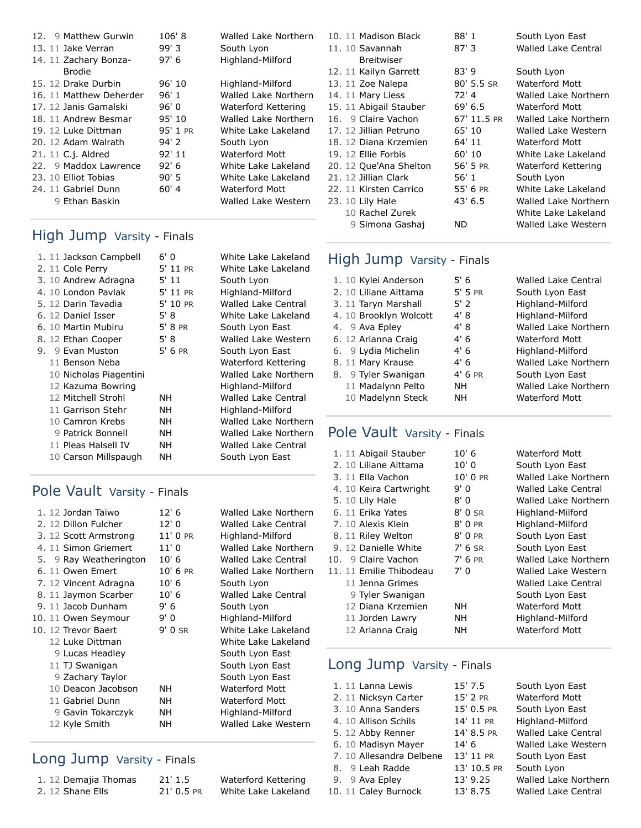| 12. 9 Matthew Gurwin    | 106'8    | Walled Lake Northern  |
|-------------------------|----------|-----------------------|
| 13. 11 Jake Verran      | 99'3     | South Lyon            |
| 14. 11 Zachary Bonza-   | 97'6     | Highland-Milford      |
| <b>Brodie</b>           |          |                       |
| 15. 12 Drake Durbin     | 96'10    | Highland-Milford      |
| 16. 11 Matthew Deherder | 96' 1    | Walled Lake Northern  |
| 17. 12 Janis Gamalski   | 96'0     | Waterford Kettering   |
| 18. 11 Andrew Besmar    | 95' 10   | Walled Lake Northern  |
| 19. 12 Luke Dittman     | 95' 1 PR | White Lake Lakeland   |
| 20. 12 Adam Walrath     | 94' 2    | South Lyon            |
| 21. 11 C.j. Aldred      | 92' 11   | <b>Waterford Mott</b> |
| 22. 9 Maddox Lawrence   | 92' 6    | White Lake Lakeland   |
| 23. 10 Elliot Tobias    | 90'5     | White Lake Lakeland   |
| 24. 11 Gabriel Dunn     | 60' 4    | Waterford Mott        |
| 9 Ethan Baskin          |          | Walled Lake Western   |

## High Jump Varsity - Finals

| 1. 11 Jackson Campbell |                        | 6'0       | White Lake Lakeland        |
|------------------------|------------------------|-----------|----------------------------|
| 2. 11 Cole Perry       |                        | 5' 11 PR  | White Lake Lakeland        |
| 3. 10 Andrew Adragna   |                        | 5' 11     | South Lyon                 |
| 4. 10 London Pavlak    |                        | 5' 11 PR  | Highland-Milford           |
| 5. 12 Darin Tavadia    |                        | 5' 10 PR  | <b>Walled Lake Central</b> |
| 6. 12 Daniel Isser     |                        | 5' 8      | White Lake Lakeland        |
| 6. 10 Martin Mubiru    |                        | 5' 8 PR   | South Lyon East            |
| 8. 12 Ethan Cooper     |                        | 5' 8      | Walled Lake Western        |
| 9 Evan Muston<br>9.    |                        | $5'$ 6 PR | South Lyon East            |
| 11 Benson Neba         |                        |           | Waterford Kettering        |
|                        | 10 Nicholas Piagentini |           | Walled Lake Northern       |
|                        | 12 Kazuma Bowring      |           | Highland-Milford           |
| 12 Mitchell Strohl     |                        | NН        | <b>Walled Lake Central</b> |
| 11 Garrison Stehr      |                        | NΗ        | Highland-Milford           |
| 10 Camron Krebs        |                        | NΗ        | Walled Lake Northern       |
| 9 Patrick Bonnell      |                        | <b>NH</b> | Walled Lake Northern       |
| 11 Pleas Halsell IV    |                        | NН        | Walled Lake Central        |
|                        | 10 Carson Millspaugh   | NΗ        | South Lyon East            |
|                        |                        |           |                            |

## Pole Vault Varsity - Finals

| 1. 12 Jordan Taiwo     | 12'6     | Walled Lake Northern       |
|------------------------|----------|----------------------------|
| 2. 12 Dillon Fulcher   | 12'0     | <b>Walled Lake Central</b> |
| 3. 12 Scott Armstrong  | 11' 0 PR | Highland-Milford           |
| 4. 11 Simon Griemert   | 11'0     | Walled Lake Northern       |
| 5. 9 Ray Weatherington | 10'6     | <b>Walled Lake Central</b> |
| 6. 11 Owen Emert       | 10' 6 PR | Walled Lake Northern       |
| 7. 12 Vincent Adragna  | 10'6     | South Lyon                 |
| 8. 11 Jaymon Scarber   | 10'6     | Walled Lake Central        |
| 9. 11 Jacob Dunham     | 9' 6     | South Lyon                 |
| 10. 11 Owen Seymour    | 9' 0     | Highland-Milford           |
| 10. 12 Trevor Baert    | $9'0$ SR | White Lake Lakeland        |
| 12 Luke Dittman        |          | White Lake Lakeland        |
| 9 Lucas Headley        |          | South Lyon East            |
| 11 TJ Swanigan         |          | South Lyon East            |
| 9 Zachary Taylor       |          | South Lyon East            |
| 10 Deacon Jacobson     | NΗ       | Waterford Mott             |
| 11 Gabriel Dunn        | NΗ       | <b>Waterford Mott</b>      |
| 9 Gavin Tokarczyk      | NΗ       | Highland-Milford           |
| 12 Kyle Smith          | NΗ       | Walled Lake Western        |
|                        |          |                            |

## Long Jump Varsity - Finals

| 1. 12 Demajia Thomas |  |
|----------------------|--|
| 2. 12 Shane Ells     |  |

| $21'$ 1.5    | Waterford Kettering |
|--------------|---------------------|
| $21'$ 0.5 PR | White Lake Lakeland |

| 10. 11 Madison Black   | 88' 1       | South Lyon East            |
|------------------------|-------------|----------------------------|
| 11. 10 Savannah        | $87'$ 3     | <b>Walled Lake Central</b> |
| <b>Breitwiser</b>      |             |                            |
| 12. 11 Kailyn Garrett  | 83'9        | South Lyon                 |
| 13. 11 Zoe Nalepa      | 80' 5.5 SR  | Waterford Mott             |
| 14. 11 Mary Liess      | 72' 4       | Walled Lake Northern       |
| 15. 11 Abigail Stauber | 69' 6.5     | Waterford Mott             |
| 16. 9 Claire Vachon    | 67' 11.5 PR | Walled Lake Northern       |
| 17. 12 Jillian Petruno | 65' 10      | Walled Lake Western        |
| 18. 12 Diana Krzemien  | 64' 11      | Waterford Mott             |
| 19. 12 Ellie Forbis    | 60' 10      | White Lake Lakeland        |
| 20. 12 Que'Ana Shelton | 56' 5 PR    | Waterford Kettering        |
| 21. 12 Jillian Clark   | 56' 1       | South Lyon                 |
| 22. 11 Kirsten Carrico | 55' 6 PR    | White Lake Lakeland        |
| 23. 10 Lily Hale       | 43' 6.5     | Walled Lake Northern       |
| 10 Rachel Zurek        |             | White Lake Lakeland        |
| 9 Simona Gashai        | ND          | Walled Lake Western        |

#### High Jump Varsity - Finals

| 1. 10 Kylei Anderson   | 5' 6      | <b>Walled Lake Central</b>  |
|------------------------|-----------|-----------------------------|
| 2. 10 Liliane Aittama  | $5'$ 5 PR | South Lyon East             |
| 3. 11 Taryn Marshall   | $5'$ 2    | Highland-Milford            |
| 4. 10 Brooklyn Wolcott | 4' 8      | Highland-Milford            |
| 4. 9 Ava Epley         | 4' 8      | <b>Walled Lake Northern</b> |
| 6. 12 Arianna Craig    | 4'6       | <b>Waterford Mott</b>       |
| 6. 9 Lydia Michelin    | 4'6       | Highland-Milford            |
| 8. 11 Mary Krause      | 4'6       | Walled Lake Northern        |
| 8. 9 Tyler Swanigan    | $4'$ 6 PR | South Lyon East             |
| 11 Madalynn Pelto      | NΗ        | Walled Lake Northern        |
| 10 Madelynn Steck      | NΗ        | <b>Waterford Mott</b>       |

## Pole Vault Varsity - Finals

| 1. 11 Abigail Stauber   | 10' 6      | Waterford Mott              |
|-------------------------|------------|-----------------------------|
| 2. 10 Liliane Aittama   | 10'0       | South Lyon East             |
| 3. 11 Ella Vachon       | $10'$ 0 PR | <b>Walled Lake Northern</b> |
| 4. 10 Keira Cartwright  | 9' 0       | <b>Walled Lake Central</b>  |
| 5. 10 Lily Hale         | 8'0        | Walled Lake Northern        |
| 6. 11 Erika Yates       | $8'$ 0 SR  | Highland-Milford            |
| 7. 10 Alexis Klein      | 8' 0 PR    | Highland-Milford            |
| 8. 11 Riley Welton      | 8' 0 PR    | South Lyon East             |
| 9. 12 Danielle White    | $7'$ 6 SR  | South Lyon East             |
| 10. 9 Claire Vachon     | $7'$ 6 PR  | Walled Lake Northern        |
| 11. 11 Emilie Thibodeau | 7' 0       | Walled Lake Western         |
| 11 Jenna Grimes         |            | <b>Walled Lake Central</b>  |
| 9 Tyler Swanigan        |            | South Lyon East             |
| 12 Diana Krzemien       | NΗ         | Waterford Mott              |
| 11 Jorden Lawry         | NΗ         | Highland-Milford            |
| 12 Arianna Craig        | NΗ         | Waterford Mott              |
|                         |            |                             |

## Long Jump Varsity - Finals

| 1. 11 Lanna Lewis        | 15' 7.5     | South Lyon East            |
|--------------------------|-------------|----------------------------|
| 2. 11 Nicksyn Carter     | 15' 2 PR    | <b>Waterford Mott</b>      |
| 3. 10 Anna Sanders       | 15' 0.5 PR  | South Lyon East            |
| 4. 10 Allison Schils     | 14' 11 PR   | Highland-Milford           |
| 5. 12 Abby Renner        | 14' 8.5 PR  | <b>Walled Lake Central</b> |
| 6. 10 Madisyn Mayer      | 14'6        | Walled Lake Western        |
| 7. 10 Allesandra Delbene | 13' 11 PR   | South Lyon East            |
| 8. 9 Leah Radde          | 13' 10.5 PR | South Lyon                 |
| 9. 9 Ava Epley           | 13' 9.25    | Walled Lake Northern       |
| 10. 11 Caley Burnock     | 13' 8.75    | <b>Walled Lake Central</b> |
|                          |             |                            |